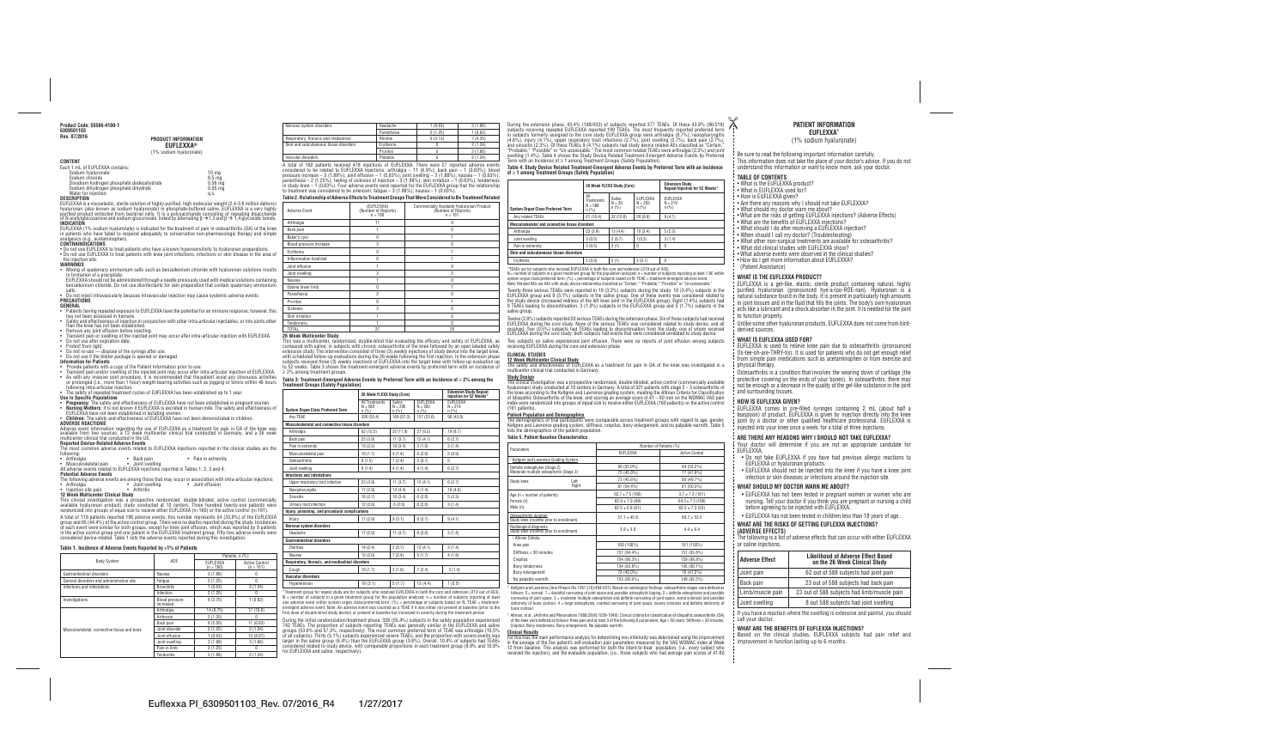#### **CONTENT**

| 10 <sub>ma</sub> |
|------------------|
| 8.5 ma           |
| $0.56$ mg        |
| $0.05$ mg        |
| a.s.             |
|                  |

# **DESCRIPTION**

EUFLEXXA is a viscoelastic, sterile solution of highly purified, high molecular weight (2.4-3.6 million daltons) hyaluronan (also known as sodium hyaluronate) in phosphate-buffered saline. EUFLEXXA is a very highly purified product extracted from bacterial cells. It is a polysaccharide consisting of repeating disaccharide of N-acetylglucosamine and sodium glucuronate, linked by alternating  $\beta \to 1,3$  and  $\beta \to 1,4$  glycosidic bonds. **INDICATION**

EUFLEXXA (1% sodium hyaluronate) is indicated for the treatment of pain in osteoarthritis (OA) of the knee in patients who have failed to respond adequately to conservative non-pharmacologic therapy and simple analgesics (e.g., acetaminophen).

# **CONTRAINDICATIONS**

• Do not use EUFLEXXA to treat patients who have a known hypersensitivity to hyaluronan preparations. • Do not use EUFLEXXA to treat patients with knee joint infections, infections or skin disease in the area of the injection site.

#### **WARNINGS**

- Mixing of quaternary ammonium salts such as benzalkonium chloride with hyaluronan solutions results in formation of a precipitate.
- EUFLEXXA should not be administered through a needle previously used with medical solutions containing benzalkonium chloride. Do not use disinfectants for skin preparation that contain quaternary ammonium salts.
- Do not inject intravascularly because intravascular injection may cause systemic adverse events. **PRECAUTIONS**

# **GENERAL**

- following:<br>• Arthralgia
- Arthralgia Back pain Pain in extremity
- Musculoskeletal pain Joint swelling All adverse events related to EUFLEXXA injections reported in Tables 1, 2, 3 and 4.

This clinical investigation was a prospective randomized, double-blinded, active control (commercially available hyaluronan product) study conducted at 10 centers. Three hundred twenty-one patients were randomized into groups of equal size to receive either EUFLEXXA (n=160) or the active control (n=161).

- Patients having repeated exposure to EUFLEXXA have the potential for an immune response; however, this has not been assessed in humans.
- Safety and effectiveness of injection in conjunction with other intra-articular injectables, or into joints other than the knee has not been established.
- Remove any joint effusion before injecting.
- Transient pain or swelling of the injected joint may occur after intra-articular injection with EUFLEXXA. • Do not use after expiration date.
- Protect from light.
- Do not re-use dispose of the syringe after use.
- Do not use if the blister package is opened or damaged. **Information for Patients**
- 
- Provide patients with a copy of the Patient Information prior to use.
- Transient pain and/or swelling of the injected joint may occur after intra-articular injection of EUFLEXXA. • As with any invasive joint procedure, it is recommended that the patient avoid any strenuous activities or prolonged (i.e., more than 1 hour) weight-bearing activities such as jogging or tennis within 48 hours following intra-articular injection.

• The safety of repeated treatment cycles of EUFLEXXA has been established up to 1 year.

# **Use in Specific Populations**

- **Pregnancy:** The safety and effectiveness of EUFLEXXA have not been established in pregnant women. • **Nursing Mothers:** It is not known if EUFLEXXA is excreted in human milk. The safety and effectiveness of
- EUFLEXXA have not been established in lactating women. • **Children:** The safety and effectiveness of EUFLEXXA have not been demonstrated in children.

#### **ADVERSE REACTIONS**

Adverse event information regarding the use of EUFLEXXA as a treatment for pain in OA of the knee was available from two sources; a 12 week multicenter clinical trial conducted in Germany, and a 26 week multicenter clinical trial conducted in the US.

This was a multicenter, randomized, double-blind trial evaluating the efficacy and safety of EUFLEXXA, as compared with saline, in subjects with chronic osteoarthritis of the knee followed by an open labeled safety extension study. The intervention consisted of three (3) weekly injections of study device into the target knee, with scheduled follow-up evaluations during the 26 weeks following the first injection. In the extension phase subjects received three (3) weekly injections of EUFLEXXA into the target knee with follow-up evaluation up to 52 weeks. Table 3 shows the treatment-emergent adverse events by preferred term with an incidence of  $\geq$  2% among treatment groups.

#### **Reported Device-Related Adverse Events**

The most common adverse events related to EUFLEXXA injections reported in the clinical studies are the

# **Potential Adverse Events**

The following adverse events are among those that may occur in association with intra-articular injections • Arthralgia • Joint swelling • Joint effusion • Joint swelling<br>• Arthritis

# **Injection site pain**

**12 Week Multicenter Clinical Study**

A total of 119 patients reported 196 adverse events; this number represents 54 (33.8%) of the EUFLEXXA group and 65 (44.4%) of the active control group. There were no deaths reported during the study. Incidences of each event were similar for both groups, except for knee joint effusion, which was reported by 9 patients in the active control group and one patient in the EUFLEXXA treatment group. Fifty-two adverse events were considered device-related. Table 1 lists the adverse events reported during this investigation.

# **Table 1. Incidence of Adverse Events Reported by >1% of Patients**

|                                             |                                    | Patients, n (%)       |                                      |
|---------------------------------------------|------------------------------------|-----------------------|--------------------------------------|
| <b>Body System</b>                          | ADE                                | EUFLEXXA<br>(n = 160) | <b>Active Control</b><br>$(n = 161)$ |
| Gastrointestinal disorders                  | Nausea                             | 3(1.88)               |                                      |
| General disorders and administration site   | Fatigue                            | 2(1.25)               | 0                                    |
| Infections and infestations                 | <b>Bronchitis</b>                  | 1(0.63)               | 2(1.24)                              |
|                                             | Infection                          | 2(1.25)               | Ŋ                                    |
| Investigations                              | <b>Blood pressure</b><br>increased | 6(3.75)               | 1(0.62)                              |
|                                             | Arthralgia                         | 14 (8.75)             | 17(10.6)                             |
|                                             | Arthrosis                          | 2(1.25)               | 0                                    |
|                                             | Back pain                          | 8(5.00)               | 11(6.83)                             |
| Musculoskeletal, connective tissue and bone | Joint disorder                     | 2(1.25)               | 2(1.24)                              |
|                                             | Joint effusion                     | 1(0.63)               | 13 (8.07)                            |
|                                             | Joint swelling                     | 3(1.88)               | 3(1.86)                              |
|                                             | Pain in limb                       | 2(1.25)               | 0                                    |
|                                             | Tendonitis                         | 3(1.88)               | 2(1.24)                              |

| Nervous system disorders               | Headache    | 1(0.63) | 3(1.86) |
|----------------------------------------|-------------|---------|---------|
|                                        | Paresthesia | 2(1.25) | 1(0.62) |
| Respiratory, thoracic and mediastinal  | Rhinitis    | 5(3.13) | 7(4.35) |
| Skin and subcutaneous tissue disorders | Ervthema    |         | 2(1.24) |
|                                        | Pruritus    |         | 3(1.86) |
| Vascular disorders                     | Phlebitis   |         | 2(1.24) |

A total of 160 patients received 478 injections of EUFLEXXA. There were 27 reported adverse events considered to be related to EUFLEXXA injections: arthralgia – 11 (6.9%); back pain – 1 (0.63%); blood pressure increase – 3 (1.88%); joint effusion – 1 (0.63%); joint swelling – 3 (1.88%); nausea – 1 (0.63%); paresthesia – 2 (1.25%); feeling of sickness of injection – 3 (1.88%); skin irritation – 1 (0.63%); tenderness in study knee – 1 (0.63%). Four adverse events were reported for the EUFLEXXA group that the relationship to treatment was considered to be unknown: fatigue – 3 (1.88%); nausea – 1 (0.63%).

**Table 2. Relationship of Adverse Effects to Treatment Groups That Were Considered to Be Treatment Related** 

| <b>Adverse Event</b>    | (EUFLEXXA)<br>(Number of Reports)<br>$n = 160$ | Commercially Available Hyaluronan Product<br>(Number of Reports)<br>$n = 161$ |
|-------------------------|------------------------------------------------|-------------------------------------------------------------------------------|
| Arthralgia              | 11                                             | 9                                                                             |
| Back pain               |                                                | 0                                                                             |
| Baker's cyst            | 0                                              |                                                                               |
| Blood pressure increase | 3                                              | Λ                                                                             |
| Erythema                | 0                                              |                                                                               |
| Inflammation localized  | 0                                              |                                                                               |
| Joint effusion          |                                                | 9                                                                             |
| Joint swelling          | 3                                              | $\overline{2}$                                                                |
| Nausea                  |                                                | U                                                                             |
| Edema lower limb        | U                                              |                                                                               |
| Paresthesia             | $\overline{2}$                                 | U                                                                             |
| Pruritus                | 0                                              |                                                                               |
| <b>Sickness</b>         | 3                                              | 0                                                                             |
| Skin irritation         |                                                | 0                                                                             |
| <b>Tenderness</b>       |                                                | 0                                                                             |
| <b>TOTAL</b>            | 27                                             | 25                                                                            |

#### **26 Week Multicenter Study**

#### **Table 3: Treatment-Emergent Adverse Events by Preferred Term with an Incidence of** ≥ **2% among the Treatment Groups (Safety Population)**

|                                                  | 26 Week FLEXX Study (Core)           |                              |                                       | <b>Extension Study Repeat</b><br>Injection for 52 Weeks* |
|--------------------------------------------------|--------------------------------------|------------------------------|---------------------------------------|----------------------------------------------------------|
| <b>System Organ Class Preferred Term</b>         | All Treatments<br>$N = 588$<br>n(% ) | Saline<br>$N = 295$<br>n(% ) | <b>EUFLEXXA</b><br>$N = 293$<br>n(% ) | <b>EUFLEXXA</b><br>$N = 219$<br>n(% )                    |
| Any TEAE                                         | 326 (55.4)                           | 169 (57.3)                   | 157 (53.6)                            | 96 (43.8)                                                |
| Musculoskeletal and connective tissue disorders  |                                      |                              |                                       |                                                          |
| Arthralgia                                       | 62 (10.5)                            | 35 (11.9)                    | 27(9.2)                               | 19(8.7)                                                  |
| Back pain                                        | 23(3.9)                              | 11(3.7)                      | 12(4.1)                               | 6(2.7)                                                   |
| Pain in extremity                                | 13(2.2)                              | 10(3.4)                      | 3(1.0)                                | 3(1.4)                                                   |
| Musculoskeletal pain                             | 10(1.7)                              | 4(1.4)                       | 6(2.0)                                | 2(0.9)                                                   |
| Osteoarthritis                                   | 9(1.5)                               | 7(2.4)                       | 2(0.7)                                | $\mathbf{0}$                                             |
| Joint swelling                                   | 8(1.4)                               | 4(1.4)                       | 4(1.4)                                | 6(2.7)                                                   |
| <b>Infections and infestations</b>               |                                      |                              |                                       |                                                          |
| Upper respiratory tract infection                | 23(3.9)                              | 11(3.7)                      | 12(4.1)                               | 6(2.7)                                                   |
| Nasopharyngitis                                  | 17(2.9)                              | 13(4.4)                      | 4(1.4)                                | 10(4.6)                                                  |
| <b>Sinusitis</b>                                 | 16(2.7)                              | 10(3.4)                      | 6(2.0)                                | 5(2.3)                                                   |
| Urinary tract infection                          | 12(2.0)                              | 6(2.0)                       | 6(2.0)                                | 3(1.4)                                                   |
| Injury, poisoning, and procedural complications  |                                      |                              |                                       |                                                          |
| Injury                                           | 17(2.9)                              | 9(3.1)                       | 8(2.7)                                | 9(4.1)                                                   |
| <b>Nervous system disorders</b>                  |                                      |                              |                                       |                                                          |
| Headache                                         | 17(2.9)                              | 11(3.7)                      | 6(2.0)                                | 3(1.4)                                                   |
| <b>Gastrointestinal disorders</b>                |                                      |                              |                                       |                                                          |
| Diarrhea                                         | 14(2.4)                              | 2(0.7)                       | 12(4.1)                               | 3(1.4)                                                   |
| Nausea                                           | 12(2.0)                              | 7(2.4)                       | 5(1.7)                                | 4(1.8)                                                   |
| Respiratory, thoracic, and mediastinal disorders |                                      |                              |                                       |                                                          |
| Cough                                            | 10(1.7)                              | 3(1.0)                       | 7(2.4)                                | 3(1.4)                                                   |
| Vascular disorders                               |                                      |                              |                                       |                                                          |
| Hypertension                                     | 18(3.1)                              | 5(1.7)                       | 13(4.4)                               | 1(0.5)                                                   |

\*Treatment group for repeat study are for subjects who received EUFLEXXA in both the core and extension (219 out of 433).  $N =$  number of subjects in a given treatment group for the population analyzed; n = number of subjects reporting at least one adverse event within system organ class/preferred term;  $(\%)$  = percentage of subjects based on N; TEAE = treatmentemergent adverse event. Note: An adverse event was counted as a TEAE if it was either not present at baseline (prior to the first dose of double-blind study device) or present at baseline but increased in severity during the treatment period.

During the initial randomization/treatment phase, 326 (55.4%) subjects in the safety population experienced 742 TEAEs. The proportion of subjects reporting TEAEs was generally similar in the EUFLEXXA and saline groups (53.6% and 57.3%, respectively). The most common preferred term of TEAE was arthralgia (10.5% of all subjects). Thirty (5.1%) subjects experienced severe TEAEs, and the proportion with severe events was larger in the saline group (6.4%) than the EUFLEXXA group (3.8%). Overall, 10.4% of subjects had TEAEs considered related to study device, with comparable proportions in each treatment group (9.9% and 10.8% for EUFLEXXA and saline, respectively).

During the extension phase, 43.4% (188/433) of subjects reported 377 TEAEs. Of these 43.8% (96/219) subjects receiving repeated EUFLEXXA reported 199 TEAEs. The most frequently reported preferred term in subjects formerly assigned to the core study EUFLEXXA group were arthralgia (8.7%), nasopharyngitis (4.6%), injury (4.1%), upper respiratory tract infections (2.7%), joint swelling (2.7%), back pain (2.7%), and sinusitis (2.3%). Of these TEAEs 9 (4.1%) subjects had study device related AEs classified as "Certain," "Probable," "Possible" or "Un-assessable." The most common related TEAEs were arthralgia (2.3%) and joint swelling (1.4%). Table 4 shows the Study Device Related Treatment-Emergent Adverse Events by Preferred Term with an Incidence of ≥ 1 among Treatment Groups (Safety Population).

#### **Table 4: Study Device Related Treatment-Emergent Adverse Events by Preferred Term with an Incidence of** ≥ **1 among Treatment Groups (Safety Population)**

|                                                        | 26 Week FLEXX Study (Core)                       |                               |                                  | <b>Extension Study</b><br>Repeat Injection for 52 Weeks* |
|--------------------------------------------------------|--------------------------------------------------|-------------------------------|----------------------------------|----------------------------------------------------------|
| <b>System Organ Class Preferred Term</b>               | All<br><b>Treatments</b><br>$N = 588$<br>$n$ (%) | Saline<br>$N = 29$<br>$n$ (%) | EUFLEXXA<br>$N = 293$<br>$n$ (%) | EUFLEXXA<br>$N = 219$<br>$n$ (%)                         |
| Any related TEAEs                                      | 61(10.4)                                         | 32(10.8)                      | 29(9.9)                          | 9(4.1)                                                   |
| <b>Musculoskeletal and connective tissue disorders</b> |                                                  |                               |                                  |                                                          |
| Arthralgia                                             | 23(3.9)                                          | 13(4.4)                       | 10(3.4)                          | 5(2.3)                                                   |
| Joint swelling                                         | 3(0.5)                                           | 2(0.7)                        | 1(0.3)                           | 3(1.4)                                                   |
| Pain in extremity                                      | 3(0.5)                                           | 3(1)                          | $\theta$                         | 0                                                        |
| Skin and subcutaneous tissue disorders                 |                                                  |                               |                                  |                                                          |
| Erythema                                               | 5(0.9)                                           | 3(1)                          | 2(0.7)                           | 0                                                        |

\*TEAEs are for subjects who received EUFLEXXA in both the core and extension (219 out of 433).  $N =$  number of subjects in a given treatment group for the population analyzed; n = number of subjects reporting at least 1 AE within system organ class/preferred term; (%) = percentage of subjects based on N; TEAE = treatment-emergent adverse event. Note: Related AEs are AEs with study device relationship classified as "Certain," "Probable," "Possible" or "Un-assessable." Twenty-three serious TEAEs were reported in 19 (3.2%) subjects during the study: 10 (3.4%) subjects in the EUFLEXXA group and 9 (3.1%) subjects in the saline group. One of these events was considered related to the study device (increased redness of the left knee joint in the EUFLEXXA group). Eight (1.4%) subjects had 9 TEAEs leading to discontinuation: 3 (1.0%) subjects in the EUFLEXXA group and 5 (1.7%) subjects in the saline group.

Twelve (2.8%) subjects reported 20 serious TEAEs during the extension phase. Six of these subjects had received EUFLEXXA during the core study. None of the serious TEAEs was considered related to study device, and all resolved. Two (0.5%) subjects had TEAEs leading to discontinuation from the study, one of whom received EUFLEXXA during the core study; both subjects had events that were considered unrelated to study device.

Two subjects on saline experienced joint effusion. There were no reports of joint effusion among subjects receiving EUFLEXXA during the core and extension phase.

# **CLINICAL STUDIES**

**12 Week Multicenter Clinical Study** The safety and effectiveness of EUFLEXXA as a treatment for pain in OA of the knee was investigated in a multicenter clinical trial conducted in Germany.

#### **Study Design**

The clinical investigation was a prospective randomized, double-blinded, active control (commercially available hyaluronan) study conducted at 10 centers in Germany. A total of 321 patients with stage 2 – 3 osteoarthritis of the knee according to the Kellgren and Lawrence grading system, meeting the Altman Criteria for Classification of Idiopathic Osteoarthritis of the knee, and scoring an average score of 41 – 80 mm on the WOMAC VAS pain index were randomized into groups of equal size to receive either EUFLEXXA (160 patients) or the active control (161 patients).

#### **Patient Population and Demographics**

The demographics of trial participants were comparable across treatment groups with regard to age, gender, Kellgren and Lawrence grading system, stiffness, crepitus, bony enlargement, and no palpable warmth. Table 5 lists the demographics of the patient population.

# **Table 5. Patient Baseline Characteristics**

| Parameters                                                                |       |                      | Number of Patients (%) |
|---------------------------------------------------------------------------|-------|----------------------|------------------------|
|                                                                           |       | <b>EUFLEXXA</b>      | <b>Active Control</b>  |
| <sup>†</sup> Kellgren and Lawrence Grading System                         |       |                      |                        |
| Definite osteophytes (Stage 2)<br>Moderate multiple osteophytes (Stage 3) |       | 88 (55.0%)           | 84 (52.2%)             |
|                                                                           |       | 72 (45.0%)           | 77 (47.8%)             |
| Study knee                                                                | Left  | 73 (45.6%)           | 80 (49.7%)             |
|                                                                           | Right | 87 (54.4%)           | 81 (50.3%)             |
| Age $(n = number of patients)$                                            |       | $62.7 \pm 7.5$ (160) | $3.7 \pm 7.3$ (161)    |
| Female (n)                                                                |       | $62.9 \pm 7.9$ (99)  | $64.3 \pm 7.3$ (108)   |
| Male (n)                                                                  |       | $62.5 \pm 6.8$ (61)  | $62.5 \pm 7.3$ (53)    |
| Osteoarthritis duration<br>Study knee (months prior to enrollment)        |       | $57.1 \pm 45.9$      | $60.7 \pm 53.5$        |
| Radiological diagnosis<br>Study knee (months prior to enrollment)         |       | $3.9 \pm 3.8$        | $4.4 \pm 6.4$          |
| <b>‡ Altman Criteria</b>                                                  |       |                      |                        |
| Knee pain                                                                 |       | 160 (100%)           | 161 (100%)             |
| Stiffness < 30 minutes                                                    |       | 151 (94.4%)          | 151 (93.8%)            |
| Crepitus                                                                  |       | 154 (96.3%)          | 159 (98.8%)            |
| <b>Bony tenderness</b>                                                    |       | 134 (83.8%)          | 145 (90.1%)            |
| Bony enlargement                                                          |       | 72 (45.0%)           | 76 (47.2%)             |
| No palpable warmth                                                        |       | 153 (95.6%)          | 149 (92.5%)            |

† Kellgren and Lawrence (Ann Rheum Dis 1957;(16):494-501): Based on radiological findings, osteoarthritis stages were defined as follows: 0 = normal, 1 = doubtful narrowing of joint space and possible osteophytic lipping, 2 = definite osteophytes and possible narrowing of joint space, 3 = moderate multiple osteophytes and definite narrowing of joint space, some sclerosis and possible deformity of bone contour, 4 = large osteophytes, marked narrowing of joint space, severe sclerosis and definite deformity of bone contour.

‡

 Altman, et al., (Arthritis and Rheumatism 1986;29(8):1039-1049): Clinical criteria for classification of idiopathic osteoarthritis (OA) of the knee were defined as follows: Knee pain and at least 3 of the following 6 parameters: Age > 50 years, Stiffness < 30 minutes, Crepitus, Bony tenderness, Bony enlargement, No palpable warmth.

#### **Clinical Results**

For this trial, the main performance analysis for determining non-inferiority was determined using the improvement in the average of the five patient's self-evaluation pain parameters measured by the VAS WOMAC index at Week 12 from baseline. This analysis was performed for both the intent-to-treat population, (i.e., every subject who received the injection), and the evaluable population, (i.e., those subjects who had average pain scores of 41-80

#### **Rev. 07/2016 PRODUCT INFORMATION EUFLEXXA®**

(1% sodium hyaluronate)

**PATIENT INFORMATION EUFLEXXA**®

# (1% sodium hyaluronate)

Be sure to read the following important information carefully. This information does not take the place of your doctor's advice. If you do not understand this information or want to know more, ask your doctor.

# **TABLE OF CONTENTS**

 $\chi$ 

- What is the EUFLEXXA product?
- What is EUFLEXXA used for?
- How is EUFLEXXA given?
- Are there any reasons why I should not take EUFLEXXA?
- What should my doctor warn me about?
- What are the risks of getting EUFLEXXA injections? (Adverse Effects)
- What are the benefits of EUFLEXXA injections?
- What should I do after receiving a EUFLEXXA injection?
- When should I call my doctor? (Troubleshooting)
- What other non-surgical treatments are available for osteoarthritis?
- What did clinical studies with EUFLEXXA show?
- What adverse events were observed in the clinical studies? • How do I get more information about EUFLEXXA?
- (Patient Assistance)

# **WHAT IS THE EUFLEXXA PRODUCT?**

EUFLEXXA is a gel-like, elastic, sterile product containing natural, highly purified hyaluronan (pronounced hye-a-loo-ROE-nan). Hyaluronan is a natural substance found in the body. It is present in particularly high amounts in joint tissues and in the fluid that fills the joints. The body's own hyaluronan acts like a lubricant and a shock absorber in the joint. It is needed for the joint to function properly.

Unlike some other hyaluronan products, EUFLEXXA does not come from birdderived sources.

# **WHAT IS EUFLEXXA USED FOR?**

EUFLEXXA is used to relieve knee pain due to osteoarthritis (pronounced Os-tee-oh-are-THRY-tis). It is used for patients who do not get enough relief from simple pain medications such as acetaminophen or from exercise and physical therapy.

Osteoarthritis is a condition that involves the wearing down of cartilage (the protective covering on the ends of your bones). In osteoarthritis, there may not be enough or a decrease in the quality of the gel-like substance in the joint and surrounding tissues.

# **HOW IS EUFLEXXA GIVEN?**

EUFLEXXA comes in pre-filled syringes containing 2 mL (about half a teaspoon) of product. EUFLEXXA is given by injection directly into the knee joint by a doctor or other qualified healthcare professional. EUFLEXXA is injected into your knee once a week, for a total of three injections.

# **ARE THERE ANY REASONS WHY I SHOULD NOT TAKE EUFLEXXA?**

Your doctor will determine if you are not an appropriate candidate for EUFLEXXA.

- Do not take EUFLEXXA if you have had previous allergic reactions to EUFLEXXA or hyaluronan products.
- EUFLEXXA should not be injected into the knee if you have a knee joint infection or skin diseases or infections around the injection site.

# **WHAT SHOULD MY DOCTOR WARN ME ABOUT?**

- EUFLEXXA has not been tested in pregnant women or women who are nursing. Tell your doctor if you think you are pregnant or nursing a child before agreeing to be injected with EUFLEXXA.
- EUFLEXXA has not been tested in children less than 18 years of age.

# **WHAT ARE THE RISKS OF GETTING EUFLEXXA INJECTIONS?**

# **(ADVERSE EFFECTS)**

The following is a list of adverse effects that can occur with either EUFLEXXA or saline injections.

| <b>Adverse Effect</b> | <b>Likelihood of Adverse Effect Based</b><br>on the 26 Week Clinical Study |  |  |  |
|-----------------------|----------------------------------------------------------------------------|--|--|--|
| Joint pain            | 62 out of 588 subjects had joint pain                                      |  |  |  |
| Back pain             | 23 out of 588 subjects had back pain                                       |  |  |  |
| Limb/muscle pain      | 23 out of 588 subjects had limb/muscle pain                                |  |  |  |
| Joint swelling        | 8 out 588 subjects had joint swelling                                      |  |  |  |

If you have a reaction where the swelling is extensive and painful, you should call your doctor.

#### **WHAT ARE THE BENEFITS OF EUFLEXXA INJECTIONS?**

Based on the clinical studies, EUFLEXXA subjects had pain relief and improvement in function lasting up to 6 months.